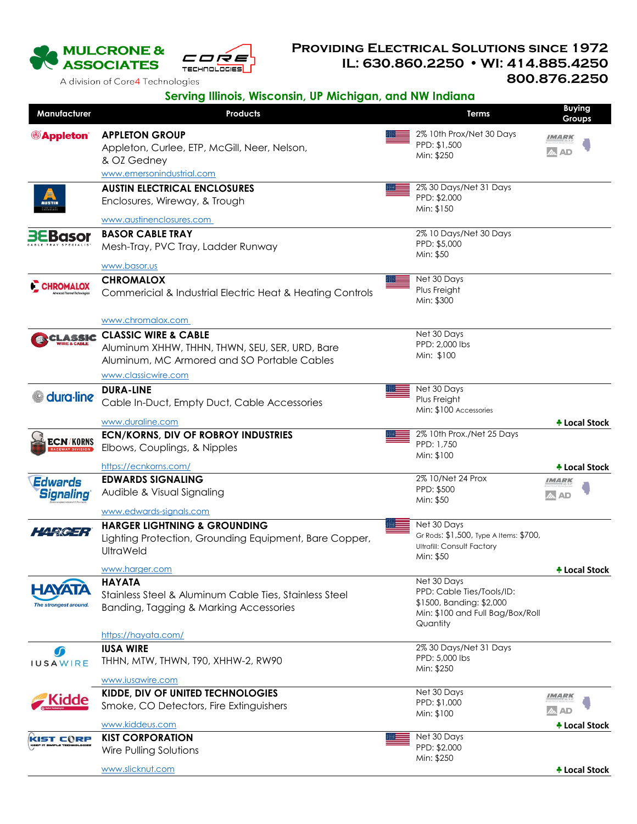

## **Providing Electrical Solutions since 1972 IL: 630.860.2250 WI: 414.885.4250 800.876.2250**

A division of Core4 Technologies

## **Serving Illinois, Wisconsin, UP Michigan, and NW Indiana**

| Manufacturer                           | <b>Products</b>                                           | <b>Terms</b>                                                                | Buying<br>Groups     |
|----------------------------------------|-----------------------------------------------------------|-----------------------------------------------------------------------------|----------------------|
| <b>Appleton</b><br><b>AUSTII</b>       | <b>APPLETON GROUP</b>                                     | 2% 10th Prox/Net 30 Days                                                    | IMARK                |
|                                        | Appleton, Curlee, ETP, McGill, Neer, Nelson,              | PPD: \$1,500                                                                | 2A AD                |
|                                        | & OZ Gedney                                               | Min: \$250                                                                  |                      |
|                                        | www.emersonindustrial.com                                 |                                                                             |                      |
|                                        | <b>AUSTIN ELECTRICAL ENCLOSURES</b>                       | 2% 30 Days/Net 31 Days                                                      |                      |
|                                        | Enclosures, Wireway, & Trough                             | PPD: \$2,000                                                                |                      |
|                                        | www.austinenclosures.com                                  | Min: \$150                                                                  |                      |
|                                        | <b>BASOR CABLE TRAY</b>                                   | 2% 10 Days/Net 30 Days                                                      |                      |
| <b>Basor</b>                           | Mesh-Tray, PVC Tray, Ladder Runway                        | PPD: \$5,000                                                                |                      |
|                                        |                                                           | Min: \$50                                                                   |                      |
|                                        | www.basor.us                                              |                                                                             |                      |
| CHROMALOX                              | <b>CHROMALOX</b>                                          | Net 30 Days                                                                 |                      |
|                                        | Commericial & Industrial Electric Heat & Heating Controls | Plus Freight<br>Min: \$300                                                  |                      |
|                                        |                                                           |                                                                             |                      |
|                                        | www.chromalox.com                                         |                                                                             |                      |
| CLASSIC                                | <b>CLASSIC WIRE &amp; CABLE</b>                           | Net 30 Days                                                                 |                      |
|                                        | Aluminum XHHW, THHN, THWN, SEU, SER, URD, Bare            | PPD: 2,000 lbs<br>Min: \$100                                                |                      |
|                                        | Aluminum, MC Armored and SO Portable Cables               |                                                                             |                      |
|                                        | www.classicwire.com                                       |                                                                             |                      |
| dura-line                              | <b>DURA-LINE</b>                                          | Net 30 Days                                                                 |                      |
|                                        | Cable In-Duct, Empty Duct, Cable Accessories              | Plus Freight<br>Min: \$100 Accessories                                      |                      |
|                                        | www.duraline.com                                          |                                                                             | <b>↑ Local Stock</b> |
|                                        | <b>ECN/KORNS, DIV OF ROBROY INDUSTRIES</b>                | 2% 10th Prox./Net 25 Days                                                   |                      |
| <b>ECN/KORNS</b>                       | Elbows, Couplings, & Nipples                              | PPD: 1.750                                                                  |                      |
|                                        |                                                           | Min: \$100                                                                  |                      |
|                                        | https://ecnkorns.com/                                     | 2% 10/Net 24 Prox                                                           | + Local Stock        |
| <b>Edwards</b>                         | <b>EDWARDS SIGNALING</b>                                  | PPD: \$500                                                                  | IMARK                |
| <b>Signaling</b>                       | Audible & Visual Signaling                                | Min: \$50                                                                   |                      |
|                                        | www.edwards-signals.com                                   |                                                                             |                      |
|                                        | <b>HARGER LIGHTNING &amp; GROUNDING</b>                   | Net 30 Days                                                                 |                      |
|                                        | Lighting Protection, Grounding Equipment, Bare Copper,    | Gr Rods: \$1,500, Type A Items: \$700,<br><b>Ultrafill: Consult Factory</b> |                      |
|                                        | UltraWeld                                                 | Min: \$50                                                                   |                      |
|                                        | www.harger.com                                            |                                                                             | + Local Stock        |
|                                        | <b>HAYATA</b>                                             | Net 30 Days                                                                 |                      |
| <b>HAYATA</b><br>The strongest around. | Stainless Steel & Aluminum Cable Ties, Stainless Steel    | PPD: Cable Ties/Tools/ID:                                                   |                      |
|                                        | Banding, Tagging & Marking Accessories                    | \$1500, Banding: \$2,000<br>Min: \$100 and Full Bag/Box/Roll                |                      |
|                                        |                                                           | Quantity                                                                    |                      |
|                                        | https://hayata.com/                                       |                                                                             |                      |
|                                        | <b>IUSA WIRE</b>                                          | 2% 30 Days/Net 31 Days                                                      |                      |
| <b>IUSAWIRE</b>                        | THHN, MTW, THWN, T90, XHHW-2, RW90                        | PPD: 5,000 lbs<br>Min: \$250                                                |                      |
|                                        | www.iusawire.com                                          |                                                                             |                      |
|                                        | KIDDE, DIV OF UNITED TECHNOLOGIES                         | Net 30 Days                                                                 | IMARK                |
| Kidde                                  | Smoke, CO Detectors, Fire Extinguishers                   | PPD: \$1,000                                                                |                      |
|                                        |                                                           | Min: \$100                                                                  | <b>AN AD</b>         |
|                                        | www.kiddeus.com                                           | Net 30 Days                                                                 | + Local Stock        |
| <b>KIST CORP</b>                       | <b>KIST CORPORATION</b>                                   | PPD: \$2,000                                                                |                      |
|                                        | Wire Pulling Solutions                                    | Min: \$250                                                                  |                      |
|                                        | www.slicknut.com                                          |                                                                             | <b>* Local Stock</b> |